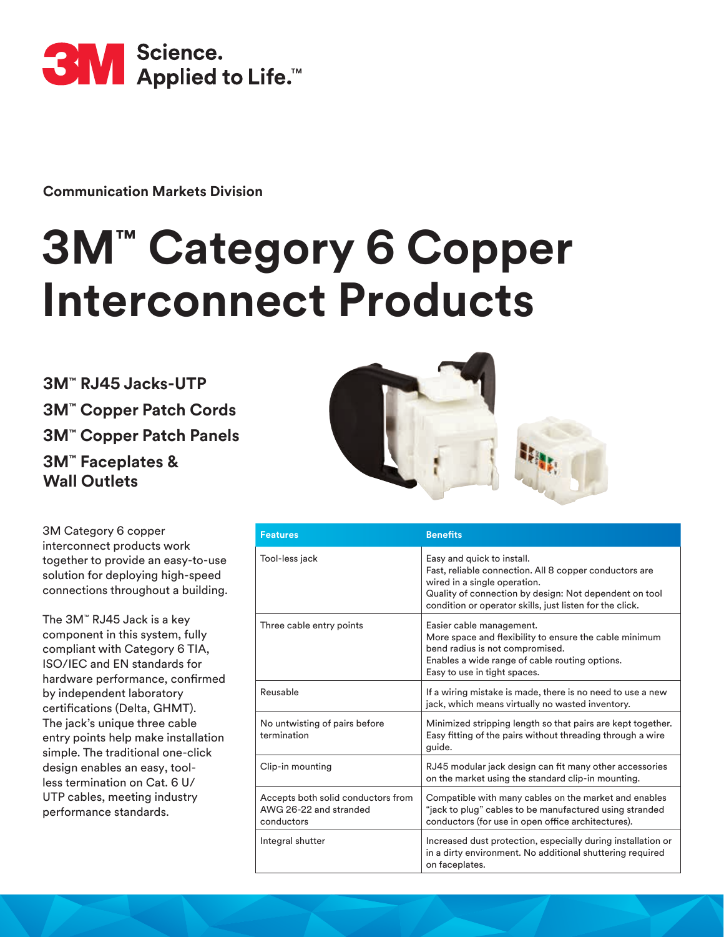

**Communication Markets Division** 

# **3M™ Category 6 Copper Interconnect Products**

**3M™ RJ45 Jacks-UTP 3M™ Copper Patch Cords 3M™ Copper Patch Panels 3M™ Faceplates & Wall Outlets**



3M Category 6 copper interconnect products work together to provide an easy-to-use solution for deploying high-speed connections throughout a building.

The 3M™ RJ45 Jack is a key component in this system, fully compliant with Category 6 TIA, ISO/IEC and EN standards for hardware performance, confirmed by independent laboratory certifications (Delta, GHMT). The jack's unique three cable entry points help make installation simple. The traditional one-click design enables an easy, toolless termination on Cat. 6 U/ UTP cables, meeting industry performance standards.

| <b>Features</b>                                                            | <b>Benefits</b>                                                                                                                                                                                                                            |
|----------------------------------------------------------------------------|--------------------------------------------------------------------------------------------------------------------------------------------------------------------------------------------------------------------------------------------|
| Tool-less jack                                                             | Easy and quick to install.<br>Fast, reliable connection. All 8 copper conductors are<br>wired in a single operation.<br>Quality of connection by design: Not dependent on tool<br>condition or operator skills, just listen for the click. |
| Three cable entry points                                                   | Easier cable management.<br>More space and flexibility to ensure the cable minimum<br>bend radius is not compromised.<br>Enables a wide range of cable routing options.<br>Easy to use in tight spaces.                                    |
| Reusable                                                                   | If a wiring mistake is made, there is no need to use a new<br>jack, which means virtually no wasted inventory.                                                                                                                             |
| No untwisting of pairs before<br>termination                               | Minimized stripping length so that pairs are kept together.<br>Easy fitting of the pairs without threading through a wire<br>guide.                                                                                                        |
| Clip-in mounting                                                           | RJ45 modular jack design can fit many other accessories<br>on the market using the standard clip-in mounting.                                                                                                                              |
| Accepts both solid conductors from<br>AWG 26-22 and stranded<br>conductors | Compatible with many cables on the market and enables<br>"jack to plug" cables to be manufactured using stranded<br>conductors (for use in open office architectures).                                                                     |
| Integral shutter                                                           | Increased dust protection, especially during installation or<br>in a dirty environment. No additional shuttering required<br>on faceplates.                                                                                                |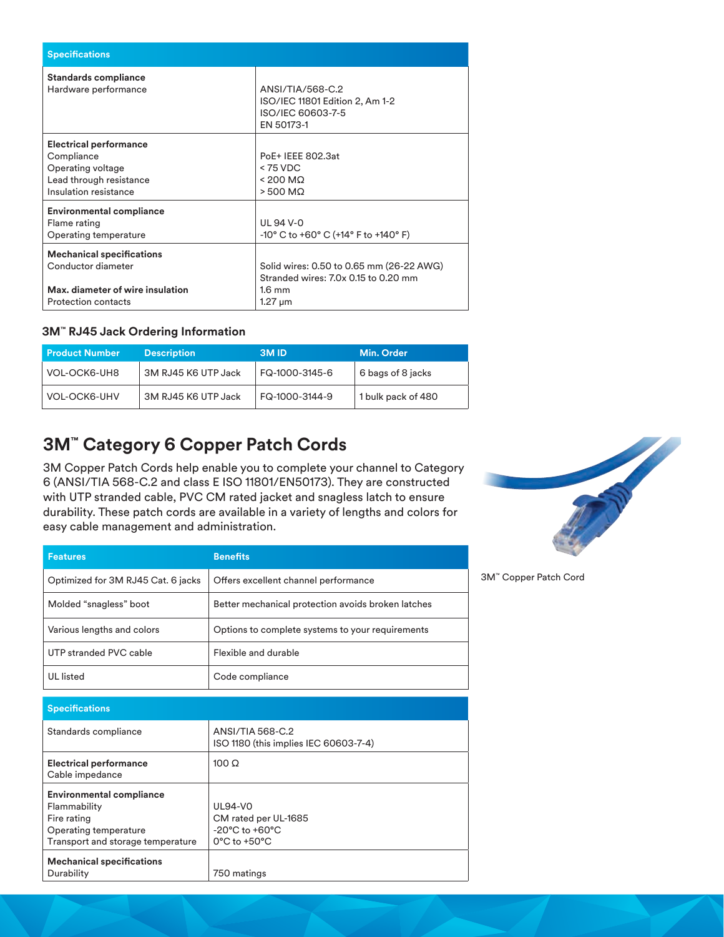| <b>Specifications</b>                                                                                                    |                                                                                                                      |  |
|--------------------------------------------------------------------------------------------------------------------------|----------------------------------------------------------------------------------------------------------------------|--|
| <b>Standards compliance</b><br>Hardware performance                                                                      | ANSI/TIA/568-C.2<br>ISO/IEC 11801 Edition 2, Am 1-2<br>ISO/IEC 60603-7-5<br>EN 50173-1                               |  |
| <b>Electrical performance</b><br>Compliance<br>Operating voltage<br>Lead through resistance<br>Insulation resistance     | PoE+ IEEE 802.3at<br>$< 75$ VDC<br>$< 200$ MQ<br>$> 500$ M $\Omega$                                                  |  |
| <b>Environmental compliance</b><br>Flame rating<br>Operating temperature                                                 | UL 94 V-0<br>$-10^{\circ}$ C to $+60^{\circ}$ C ( $+14^{\circ}$ F to $+140^{\circ}$ F)                               |  |
| <b>Mechanical specifications</b><br>Conductor diameter<br>Max. diameter of wire insulation<br><b>Protection contacts</b> | Solid wires: 0.50 to 0.65 mm (26-22 AWG)<br>Stranded wires: 7.0x 0.15 to 0.20 mm<br>$1.6 \text{ mm}$<br>$1.27 \mu m$ |  |

#### **3M™ RJ45 Jack Ordering Information**

| l Product Number    | <b>Description</b>  | <b>3MID</b>    | Min. Order         |
|---------------------|---------------------|----------------|--------------------|
| VOL-OCK6-UH8        | 3M RJ45 K6 UTP Jack | FQ-1000-3145-6 | 6 bags of 8 jacks  |
| <b>VOL-OCK6-UHV</b> | 3M RJ45 K6 UTP Jack | FQ-1000-3144-9 | 1 bulk pack of 480 |

# **3M™ Category 6 Copper Patch Cords**

3M Copper Patch Cords help enable you to complete your channel to Category 6 (ANSI/TIA 568-C.2 and class E ISO 11801/EN50173). They are constructed with UTP stranded cable, PVC CM rated jacket and snagless latch to ensure durability. These patch cords are available in a variety of lengths and colors for easy cable management and administration.

| <b>Features</b>                    | <b>Benefits</b>                                    |
|------------------------------------|----------------------------------------------------|
| Optimized for 3M RJ45 Cat. 6 jacks | Offers excellent channel performance               |
| Molded "snagless" boot             | Better mechanical protection avoids broken latches |
| Various lengths and colors         | Options to complete systems to your requirements   |
| UTP stranded PVC cable             | Flexible and durable                               |
| <b>UL</b> listed                   | Code compliance                                    |

| <b>Specifications</b>                                                                                                        |                                                                                                                   |
|------------------------------------------------------------------------------------------------------------------------------|-------------------------------------------------------------------------------------------------------------------|
| Standards compliance                                                                                                         | ANSI/TIA 568-C.2<br>ISO 1180 (this implies IEC 60603-7-4)                                                         |
| <b>Electrical performance</b><br>Cable impedance                                                                             | $100 \Omega$                                                                                                      |
| <b>Environmental compliance</b><br>Flammability<br>Fire rating<br>Operating temperature<br>Transport and storage temperature | <b>UL94-VO</b><br>CM rated per UL-1685<br>$-20^{\circ}$ C to $+60^{\circ}$ C<br>$0^{\circ}$ C to +50 $^{\circ}$ C |
| <b>Mechanical specifications</b><br>Durability                                                                               | 750 matings                                                                                                       |



3M™ Copper Patch Cord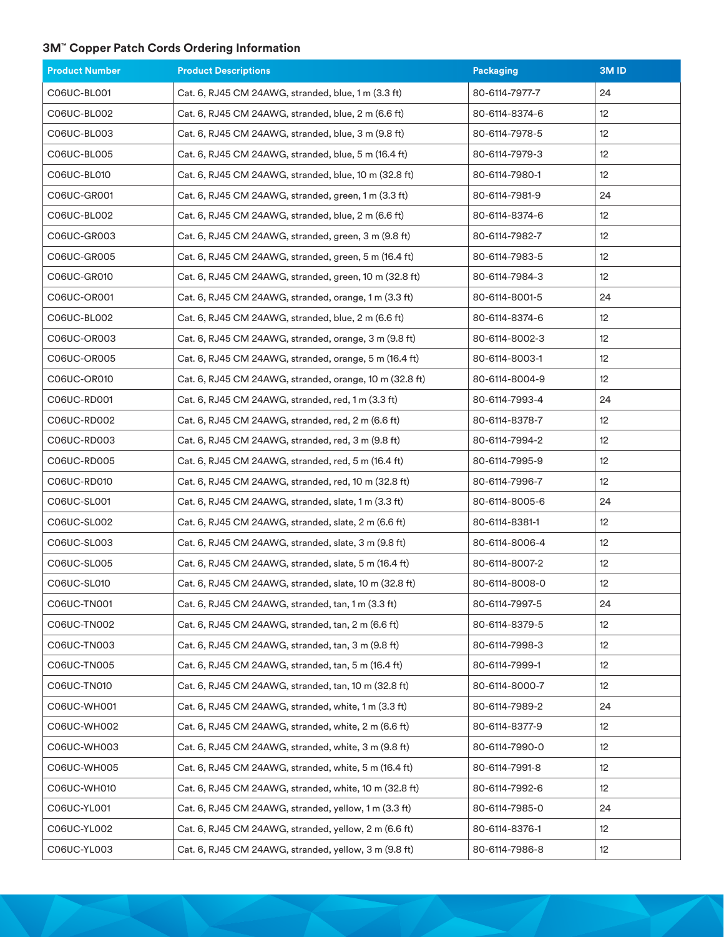## **3M™ Copper Patch Cords Ordering Information**

| <b>Product Number</b> | <b>Product Descriptions</b>                             | Packaging      | 3M <sub>ID</sub> |
|-----------------------|---------------------------------------------------------|----------------|------------------|
| C06UC-BL001           | Cat. 6, RJ45 CM 24AWG, stranded, blue, 1 m (3.3 ft)     | 80-6114-7977-7 | 24               |
| C06UC-BL002           | Cat. 6, RJ45 CM 24AWG, stranded, blue, 2 m (6.6 ft)     | 80-6114-8374-6 | 12 <sup>°</sup>  |
| C06UC-BL003           | Cat. 6, RJ45 CM 24AWG, stranded, blue, 3 m (9.8 ft)     | 80-6114-7978-5 | 12 <sup>°</sup>  |
| C06UC-BL005           | Cat. 6, RJ45 CM 24AWG, stranded, blue, 5 m (16.4 ft)    | 80-6114-7979-3 | 12               |
| C06UC-BL010           | Cat. 6, RJ45 CM 24AWG, stranded, blue, 10 m (32.8 ft)   | 80-6114-7980-1 | 12 <sup>°</sup>  |
| C06UC-GR001           | Cat. 6, RJ45 CM 24AWG, stranded, green, 1 m (3.3 ft)    | 80-6114-7981-9 | 24               |
| C06UC-BL002           | Cat. 6, RJ45 CM 24AWG, stranded, blue, 2 m (6.6 ft)     | 80-6114-8374-6 | 12 <sup>°</sup>  |
| C06UC-GR003           | Cat. 6, RJ45 CM 24AWG, stranded, green, 3 m (9.8 ft)    | 80-6114-7982-7 | 12               |
| C06UC-GR005           | Cat. 6, RJ45 CM 24AWG, stranded, green, 5 m (16.4 ft)   | 80-6114-7983-5 | 12 <sup>°</sup>  |
| C06UC-GR010           | Cat. 6, RJ45 CM 24AWG, stranded, green, 10 m (32.8 ft)  | 80-6114-7984-3 | 12               |
| C06UC-OR001           | Cat. 6, RJ45 CM 24AWG, stranded, orange, 1 m (3.3 ft)   | 80-6114-8001-5 | 24               |
| C06UC-BL002           | Cat. 6, RJ45 CM 24AWG, stranded, blue, 2 m (6.6 ft)     | 80-6114-8374-6 | 12               |
| C06UC-OR003           | Cat. 6, RJ45 CM 24AWG, stranded, orange, 3 m (9.8 ft)   | 80-6114-8002-3 | 12 <sup>°</sup>  |
| C06UC-OR005           | Cat. 6, RJ45 CM 24AWG, stranded, orange, 5 m (16.4 ft)  | 80-6114-8003-1 | 12               |
| C06UC-OR010           | Cat. 6, RJ45 CM 24AWG, stranded, orange, 10 m (32.8 ft) | 80-6114-8004-9 | 12 <sup>°</sup>  |
| C06UC-RD001           | Cat. 6, RJ45 CM 24AWG, stranded, red, 1 m (3.3 ft)      | 80-6114-7993-4 | 24               |
| C06UC-RD002           | Cat. 6, RJ45 CM 24AWG, stranded, red, 2 m (6.6 ft)      | 80-6114-8378-7 | 12               |
| C06UC-RD003           | Cat. 6, RJ45 CM 24AWG, stranded, red, 3 m (9.8 ft)      | 80-6114-7994-2 | 12 <sup>°</sup>  |
| C06UC-RD005           | Cat. 6, RJ45 CM 24AWG, stranded, red, 5 m (16.4 ft)     | 80-6114-7995-9 | 12 <sup>°</sup>  |
| C06UC-RD010           | Cat. 6, RJ45 CM 24AWG, stranded, red, 10 m (32.8 ft)    | 80-6114-7996-7 | 12 <sup>°</sup>  |
| C06UC-SL001           | Cat. 6, RJ45 CM 24AWG, stranded, slate, 1 m (3.3 ft)    | 80-6114-8005-6 | 24               |
| C06UC-SL002           | Cat. 6, RJ45 CM 24AWG, stranded, slate, 2 m (6.6 ft)    | 80-6114-8381-1 | 12 <sup>°</sup>  |
| C06UC-SL003           | Cat. 6, RJ45 CM 24AWG, stranded, slate, 3 m (9.8 ft)    | 80-6114-8006-4 | 12 <sup>°</sup>  |
| C06UC-SL005           | Cat. 6, RJ45 CM 24AWG, stranded, slate, 5 m (16.4 ft)   | 80-6114-8007-2 | 12 <sup>°</sup>  |
| C06UC-SL010           | Cat. 6, RJ45 CM 24AWG, stranded, slate, 10 m (32.8 ft)  | 80-6114-8008-0 | 12               |
| C06UC-TN001           | Cat. 6, RJ45 CM 24AWG, stranded, tan, 1 m (3.3 ft)      | 80-6114-7997-5 | 24               |
| C06UC-TN002           | Cat. 6, RJ45 CM 24AWG, stranded, tan, 2 m (6.6 ft)      | 80-6114-8379-5 | 12 <sup>°</sup>  |
| C06UC-TN003           | Cat. 6, RJ45 CM 24AWG, stranded, tan, 3 m (9.8 ft)      | 80-6114-7998-3 | 12               |
| C06UC-TN005           | Cat. 6, RJ45 CM 24AWG, stranded, tan, 5 m (16.4 ft)     | 80-6114-7999-1 | 12               |
| C06UC-TN010           | Cat. 6, RJ45 CM 24AWG, stranded, tan, 10 m (32.8 ft)    | 80-6114-8000-7 | 12               |
| <b>C06UC-WH001</b>    | Cat. 6, RJ45 CM 24AWG, stranded, white, 1 m (3.3 ft)    | 80-6114-7989-2 | 24               |
| C06UC-WH002           | Cat. 6, RJ45 CM 24AWG, stranded, white, 2 m (6.6 ft)    | 80-6114-8377-9 | 12               |
| C06UC-WH003           | Cat. 6, RJ45 CM 24AWG, stranded, white, 3 m (9.8 ft)    | 80-6114-7990-0 | 12               |
| C06UC-WH005           | Cat. 6, RJ45 CM 24AWG, stranded, white, 5 m (16.4 ft)   | 80-6114-7991-8 | 12 <sup>°</sup>  |
| C06UC-WH010           | Cat. 6, RJ45 CM 24AWG, stranded, white, 10 m (32.8 ft)  | 80-6114-7992-6 | 12 <sup>°</sup>  |
| C06UC-YL001           | Cat. 6, RJ45 CM 24AWG, stranded, yellow, 1 m (3.3 ft)   | 80-6114-7985-0 | 24               |
| C06UC-YL002           | Cat. 6, RJ45 CM 24AWG, stranded, yellow, 2 m (6.6 ft)   | 80-6114-8376-1 | 12 <sup>°</sup>  |
| C06UC-YL003           | Cat. 6, RJ45 CM 24AWG, stranded, yellow, 3 m (9.8 ft)   | 80-6114-7986-8 | 12 <sup>°</sup>  |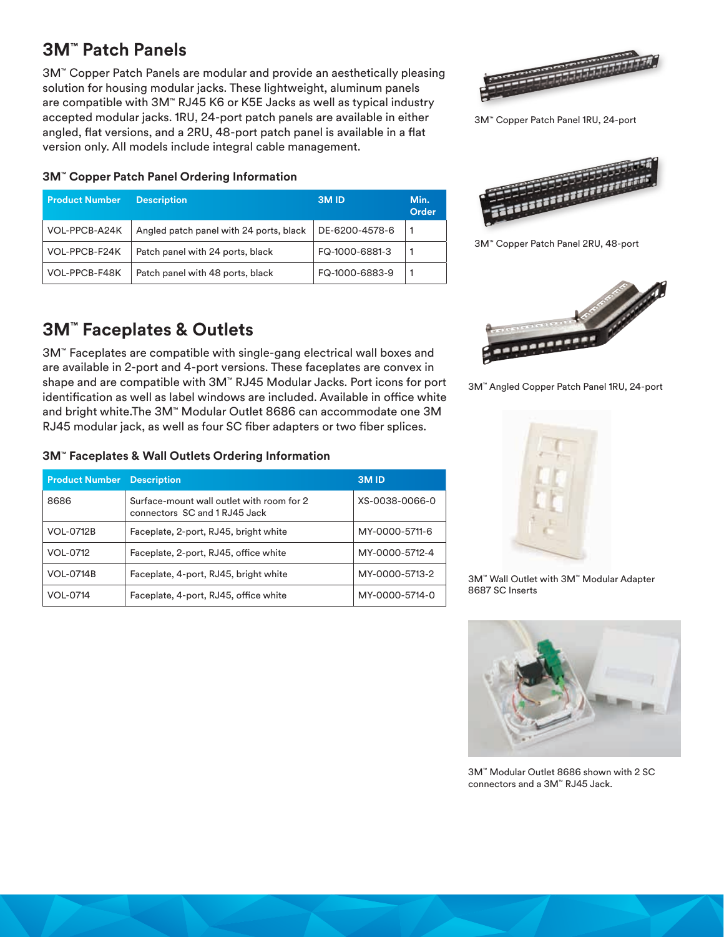## **3M™ Patch Panels**

3M™ Copper Patch Panels are modular and provide an aesthetically pleasing solution for housing modular jacks. These lightweight, aluminum panels are compatible with 3M™ RJ45 K6 or K5E Jacks as well as typical industry accepted modular jacks. 1RU, 24-port patch panels are available in either angled, flat versions, and a 2RU, 48-port patch panel is available in a flat version only. All models include integral cable management.

#### **3M™ Copper Patch Panel Ordering Information**

| <b>Product Number</b> | <b>Description</b>                      | <b>3MID</b>    | Min.<br>Order |
|-----------------------|-----------------------------------------|----------------|---------------|
| VOL-PPCB-A24K         | Angled patch panel with 24 ports, black | DE-6200-4578-6 |               |
| VOL-PPCB-F24K         | Patch panel with 24 ports, black        | FQ-1000-6881-3 |               |
| VOL-PPCB-F48K         | Patch panel with 48 ports, black        | FQ-1000-6883-9 |               |

## **3M™ Faceplates & Outlets**

3M™ Faceplates are compatible with single-gang electrical wall boxes and are available in 2-port and 4-port versions. These faceplates are convex in shape and are compatible with 3M™ RJ45 Modular Jacks. Port icons for port identification as well as label windows are included. Available in office white and bright white.The 3M™ Modular Outlet 8686 can accommodate one 3M RJ45 modular jack, as well as four SC fiber adapters or two fiber splices.

### **3M™ Faceplates & Wall Outlets Ordering Information**

| <b>Product Number</b> | <b>Description</b>                                                         | 3M <sub>ID</sub> |
|-----------------------|----------------------------------------------------------------------------|------------------|
| 8686                  | Surface-mount wall outlet with room for 2<br>connectors SC and 1 RJ45 Jack | XS-0038-0066-0   |
| <b>VOL-0712B</b>      | Faceplate, 2-port, RJ45, bright white                                      | MY-0000-5711-6   |
| VOL-0712              | Faceplate, 2-port, RJ45, office white                                      | MY-0000-5712-4   |
| <b>VOL-0714B</b>      | Faceplate, 4-port, RJ45, bright white                                      | MY-0000-5713-2   |
| VOL-0714              | Faceplate, 4-port, RJ45, office white                                      | MY-0000-5714-0   |



3M™ Copper Patch Panel 1RU, 24-port



3M™ Copper Patch Panel 2RU, 48-port



3M™ Angled Copper Patch Panel 1RU, 24-port



3M™ Wall Outlet with 3M™ Modular Adapter 8687 SC Inserts



3M™ Modular Outlet 8686 shown with 2 SC connectors and a 3M™ RJ45 Jack.